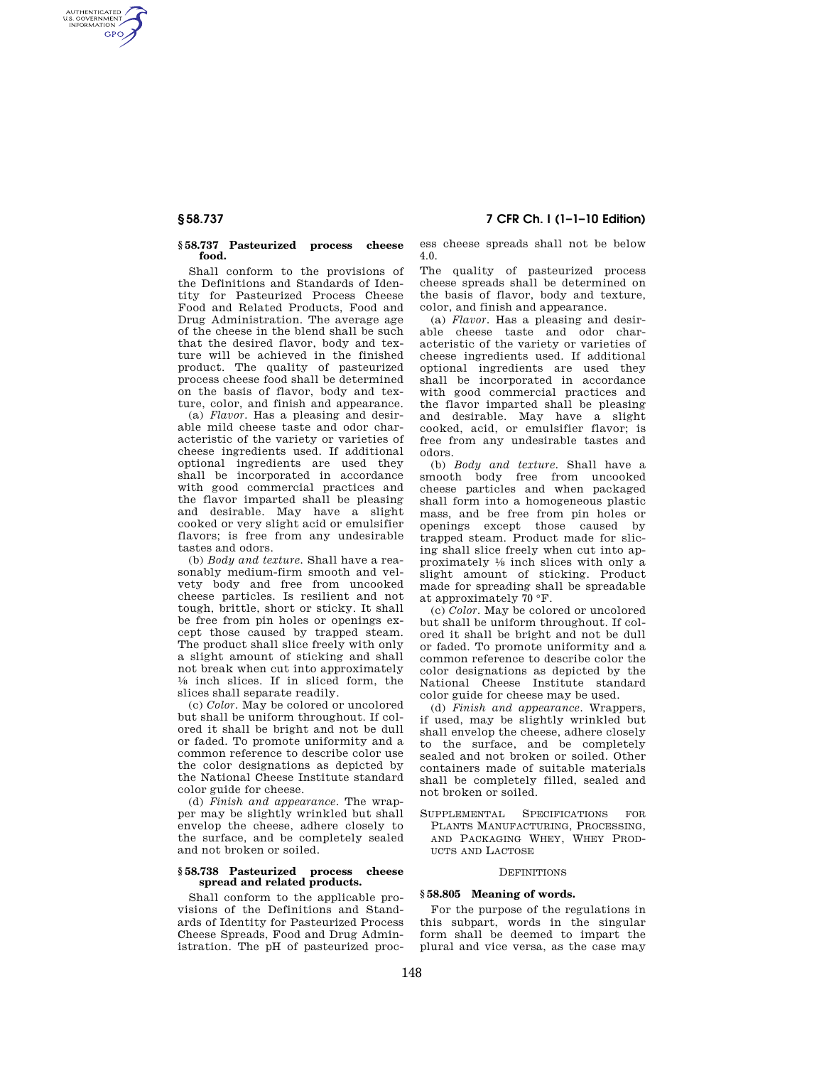AUTHENTICATED<br>U.S. GOVERNMENT<br>INFORMATION **GPO** 

#### **§ 58.737 Pasteurized process cheese food.**

Shall conform to the provisions of the Definitions and Standards of Identity for Pasteurized Process Cheese Food and Related Products, Food and Drug Administration. The average age of the cheese in the blend shall be such that the desired flavor, body and texture will be achieved in the finished product. The quality of pasteurized process cheese food shall be determined on the basis of flavor, body and texture, color, and finish and appearance.

(a) *Flavor.* Has a pleasing and desirable mild cheese taste and odor characteristic of the variety or varieties of cheese ingredients used. If additional optional ingredients are used they shall be incorporated in accordance with good commercial practices and the flavor imparted shall be pleasing and desirable. May have a slight cooked or very slight acid or emulsifier flavors; is free from any undesirable tastes and odors.

(b) *Body and texture.* Shall have a reasonably medium-firm smooth and velvety body and free from uncooked cheese particles. Is resilient and not tough, brittle, short or sticky. It shall be free from pin holes or openings except those caused by trapped steam. The product shall slice freely with only a slight amount of sticking and shall not break when cut into approximately 1⁄8 inch slices. If in sliced form, the slices shall separate readily.

(c) *Color.* May be colored or uncolored but shall be uniform throughout. If colored it shall be bright and not be dull or faded. To promote uniformity and a common reference to describe color use the color designations as depicted by the National Cheese Institute standard color guide for cheese.

(d) *Finish and appearance.* The wrapper may be slightly wrinkled but shall envelop the cheese, adhere closely to the surface, and be completely sealed and not broken or soiled.

#### **§ 58.738 Pasteurized process cheese spread and related products.**

Shall conform to the applicable provisions of the Definitions and Standards of Identity for Pasteurized Process Cheese Spreads, Food and Drug Administration. The pH of pasteurized proc-

# **§ 58.737 7 CFR Ch. I (1–1–10 Edition)**

ess cheese spreads shall not be below 4.0.

The quality of pasteurized process cheese spreads shall be determined on the basis of flavor, body and texture, color, and finish and appearance.

(a) *Flavor.* Has a pleasing and desirable cheese taste and odor characteristic of the variety or varieties of cheese ingredients used. If additional optional ingredients are used they shall be incorporated in accordance with good commercial practices and the flavor imparted shall be pleasing and desirable. May have a slight cooked, acid, or emulsifier flavor; is free from any undesirable tastes and odors.

(b) *Body and texture.* Shall have a smooth body free from uncooked cheese particles and when packaged shall form into a homogeneous plastic mass, and be free from pin holes or openings except those caused by trapped steam. Product made for slicing shall slice freely when cut into approximately 1⁄8 inch slices with only a slight amount of sticking. Product made for spreading shall be spreadable at approximately 70 °F.

(c) *Color.* May be colored or uncolored but shall be uniform throughout. If colored it shall be bright and not be dull or faded. To promote uniformity and a common reference to describe color the color designations as depicted by the National Cheese Institute standard color guide for cheese may be used.

(d) *Finish and appearance.* Wrappers, if used, may be slightly wrinkled but shall envelop the cheese, adhere closely to the surface, and be completely sealed and not broken or soiled. Other containers made of suitable materials shall be completely filled, sealed and not broken or soiled.

SUPPLEMENTAL SPECIFICATIONS FOR PLANTS MANUFACTURING, PROCESSING, AND PACKAGING WHEY, WHEY PROD-UCTS AND LACTOSE

#### **DEFINITIONS**

## **§ 58.805 Meaning of words.**

For the purpose of the regulations in this subpart, words in the singular form shall be deemed to impart the plural and vice versa, as the case may